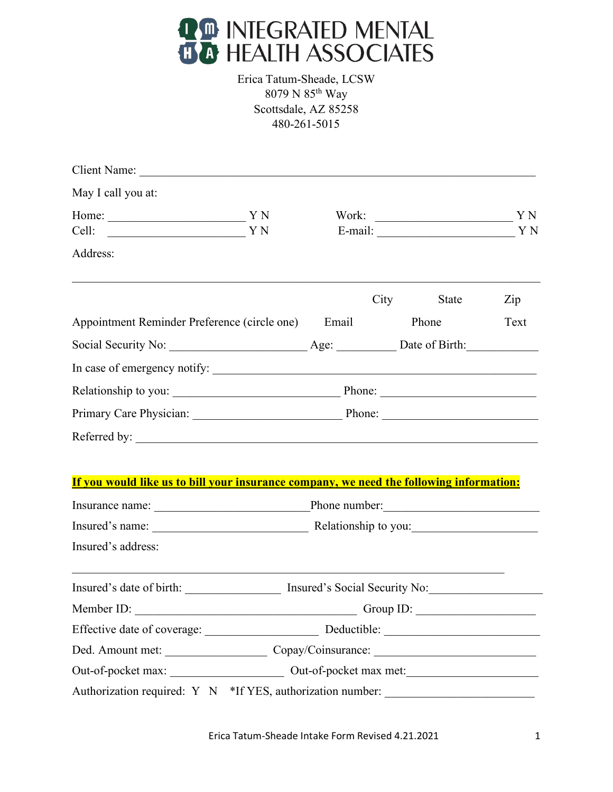

Erica Tatum-Sheade, LCSW 8079 N 85th Way Scottsdale, AZ 85258 480-261-5015

| May I call you at:                                                                                                                                                                                                                 |                                                        |       |  |               |      |  |
|------------------------------------------------------------------------------------------------------------------------------------------------------------------------------------------------------------------------------------|--------------------------------------------------------|-------|--|---------------|------|--|
| Home: YN                                                                                                                                                                                                                           |                                                        |       |  |               |      |  |
| Cell:<br><u> 1950 - Johann Barbara, martin amerikan basa</u>                                                                                                                                                                       | <b>YN</b>                                              |       |  |               | Y N  |  |
| Address:                                                                                                                                                                                                                           |                                                        |       |  |               |      |  |
|                                                                                                                                                                                                                                    |                                                        |       |  | City<br>State | Zip  |  |
| Appointment Reminder Preference (circle one)                                                                                                                                                                                       |                                                        | Email |  | Phone         | Text |  |
|                                                                                                                                                                                                                                    |                                                        |       |  |               |      |  |
|                                                                                                                                                                                                                                    |                                                        |       |  |               |      |  |
|                                                                                                                                                                                                                                    |                                                        |       |  |               |      |  |
| Primary Care Physician: Phone: Phone: Phone: Phone: Phone: Phone: Phone: Phone: Phone: Phone: Phone: Phone: Phone: Phone: Phone: Phone: Phone: Phone: Phone: Phone: Phone: Phone: Phone: Phone: Phone: Phone: Phone: Phone: Ph     |                                                        |       |  |               |      |  |
|                                                                                                                                                                                                                                    |                                                        |       |  |               |      |  |
|                                                                                                                                                                                                                                    |                                                        |       |  |               |      |  |
| If you would like us to bill your insurance company, we need the following information:                                                                                                                                            |                                                        |       |  |               |      |  |
| Insurance name: <u>New York: Phone number:</u> New York: New York: New York: New York: New York: New York: New York: New York: New York: New York: New York: New York: New York: New York: New York: New York: New York: New York: |                                                        |       |  |               |      |  |
|                                                                                                                                                                                                                                    |                                                        |       |  |               |      |  |
| Insured's address:                                                                                                                                                                                                                 |                                                        |       |  |               |      |  |
|                                                                                                                                                                                                                                    |                                                        |       |  |               |      |  |
|                                                                                                                                                                                                                                    | Insured's date of birth: Insured's Social Security No: |       |  |               |      |  |
| Member ID:                                                                                                                                                                                                                         | Group ID:                                              |       |  |               |      |  |
|                                                                                                                                                                                                                                    |                                                        |       |  |               |      |  |
| Ded. Amount met: Copay/Coinsurance: Copay/Coinsurance:                                                                                                                                                                             |                                                        |       |  |               |      |  |
|                                                                                                                                                                                                                                    |                                                        |       |  |               |      |  |
| Authorization required: Y N *If YES, authorization number:                                                                                                                                                                         |                                                        |       |  |               |      |  |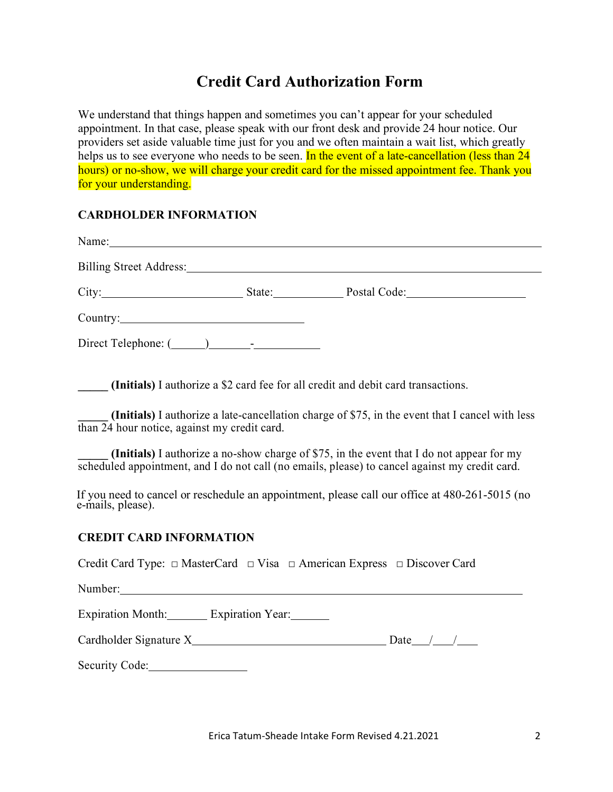# **Credit Card Authorization Form**

We understand that things happen and sometimes you can't appear for your scheduled appointment. In that case, please speak with our front desk and provide 24 hour notice. Our providers set aside valuable time just for you and we often maintain a wait list, which greatly helps us to see everyone who needs to be seen. In the event of a late-cancellation (less than 24 hours) or no-show, we will charge your credit card for the missed appointment fee. Thank you for your understanding.

# **CARDHOLDER INFORMATION**

| Name:                           |                        |                   |  |
|---------------------------------|------------------------|-------------------|--|
|                                 |                        |                   |  |
| City:                           | State: $\qquad \qquad$ | Postal Code: 2000 |  |
|                                 |                        |                   |  |
| $Direct Telephone: (_________.$ |                        |                   |  |

**(Initials)** I authorize a \$2 card fee for all credit and debit card transactions.

**(Initials)** I authorize a late-cancellation charge of \$75, in the event that I cancel with less than 24 hour notice, against my credit card.

**(Initials)** I authorize a no-show charge of \$75, in the event that I do not appear for my scheduled appointment, and I do not call (no emails, please) to cancel against my credit card.

If you need to cancel or reschedule an appointment, please call our office at 480-261-5015 (no e-mails, please).

#### **CREDIT CARD INFORMATION**

Credit Card Type: **□** MasterCard **□** Visa **□** American Express **□** Discover Card

Number:

Expiration Month: Expiration Year:

| Cardholder Signature X |  |
|------------------------|--|
|                        |  |

Security Code: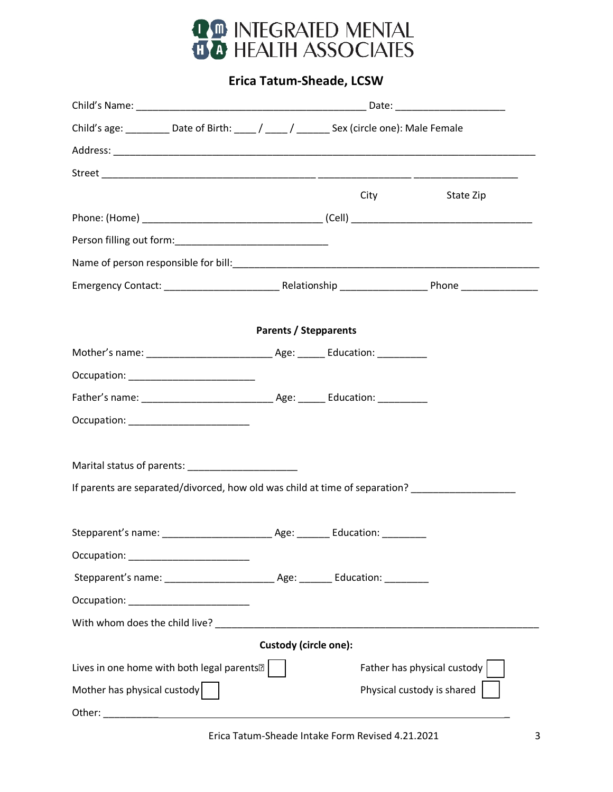

**Erica Tatum-Sheade, LCSW**

| Child's age: _________ Date of Birth: ____/ ____/ ______ Sex (circle one): Male Female |                                                          |  |                                                                                                                      |                                                                                                     |  |  |  |  |
|----------------------------------------------------------------------------------------|----------------------------------------------------------|--|----------------------------------------------------------------------------------------------------------------------|-----------------------------------------------------------------------------------------------------|--|--|--|--|
|                                                                                        |                                                          |  |                                                                                                                      |                                                                                                     |  |  |  |  |
|                                                                                        |                                                          |  |                                                                                                                      |                                                                                                     |  |  |  |  |
|                                                                                        |                                                          |  | City                                                                                                                 | State Zip                                                                                           |  |  |  |  |
|                                                                                        |                                                          |  |                                                                                                                      |                                                                                                     |  |  |  |  |
|                                                                                        |                                                          |  |                                                                                                                      |                                                                                                     |  |  |  |  |
|                                                                                        |                                                          |  |                                                                                                                      |                                                                                                     |  |  |  |  |
|                                                                                        |                                                          |  |                                                                                                                      |                                                                                                     |  |  |  |  |
|                                                                                        |                                                          |  |                                                                                                                      |                                                                                                     |  |  |  |  |
|                                                                                        |                                                          |  | <b>Parents / Stepparents</b>                                                                                         |                                                                                                     |  |  |  |  |
|                                                                                        |                                                          |  |                                                                                                                      |                                                                                                     |  |  |  |  |
|                                                                                        |                                                          |  |                                                                                                                      |                                                                                                     |  |  |  |  |
|                                                                                        |                                                          |  |                                                                                                                      |                                                                                                     |  |  |  |  |
|                                                                                        |                                                          |  |                                                                                                                      |                                                                                                     |  |  |  |  |
|                                                                                        |                                                          |  |                                                                                                                      |                                                                                                     |  |  |  |  |
|                                                                                        |                                                          |  |                                                                                                                      |                                                                                                     |  |  |  |  |
|                                                                                        |                                                          |  |                                                                                                                      | If parents are separated/divorced, how old was child at time of separation? _______________________ |  |  |  |  |
|                                                                                        |                                                          |  |                                                                                                                      |                                                                                                     |  |  |  |  |
|                                                                                        |                                                          |  |                                                                                                                      |                                                                                                     |  |  |  |  |
|                                                                                        |                                                          |  |                                                                                                                      |                                                                                                     |  |  |  |  |
|                                                                                        |                                                          |  |                                                                                                                      |                                                                                                     |  |  |  |  |
|                                                                                        |                                                          |  |                                                                                                                      |                                                                                                     |  |  |  |  |
|                                                                                        |                                                          |  |                                                                                                                      |                                                                                                     |  |  |  |  |
|                                                                                        | <b>Custody (circle one):</b>                             |  |                                                                                                                      |                                                                                                     |  |  |  |  |
|                                                                                        | Lives in one home with both legal parents <sup>[2]</sup> |  |                                                                                                                      | Father has physical custody                                                                         |  |  |  |  |
| Mother has physical custody                                                            |                                                          |  |                                                                                                                      | Physical custody is shared                                                                          |  |  |  |  |
| Other:                                                                                 |                                                          |  | <u> Linda a componente de la componenta de la componenta de la componenta de la componenta de la componenta de l</u> |                                                                                                     |  |  |  |  |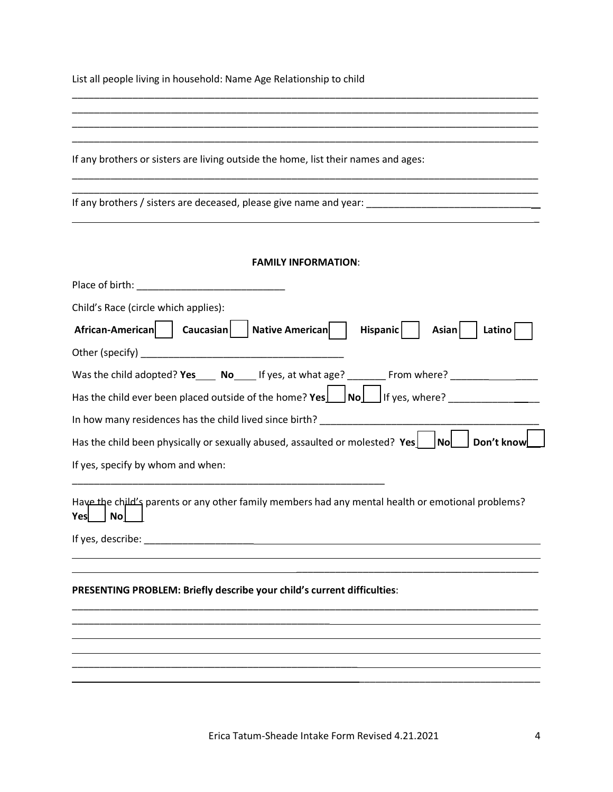List all people living in household: Name Age Relationship to child

| If any brothers or sisters are living outside the home, list their names and ages:                                    |
|-----------------------------------------------------------------------------------------------------------------------|
|                                                                                                                       |
|                                                                                                                       |
|                                                                                                                       |
| <b>FAMILY INFORMATION:</b>                                                                                            |
|                                                                                                                       |
| Child's Race (circle which applies):                                                                                  |
| African-American<br>Caucasian   Native American<br><b>Hispanic</b><br>Asian<br>Latino                                 |
|                                                                                                                       |
| Was the child adopted? Yes _____ No______ If yes, at what age? _________ From where? _____________________            |
|                                                                                                                       |
| In how many residences has the child lived since birth?                                                               |
| Has the child been physically or sexually abused, assaulted or molested? Yes<br>Don't know<br> Nol                    |
| If yes, specify by whom and when:                                                                                     |
| Have the child's parents or any other family members had any mental health or emotional problems?<br>Yes<br><b>No</b> |
| If yes, describe:                                                                                                     |
|                                                                                                                       |
| PRESENTING PROBLEM: Briefly describe your child's current difficulties:                                               |
|                                                                                                                       |
|                                                                                                                       |
|                                                                                                                       |
|                                                                                                                       |
|                                                                                                                       |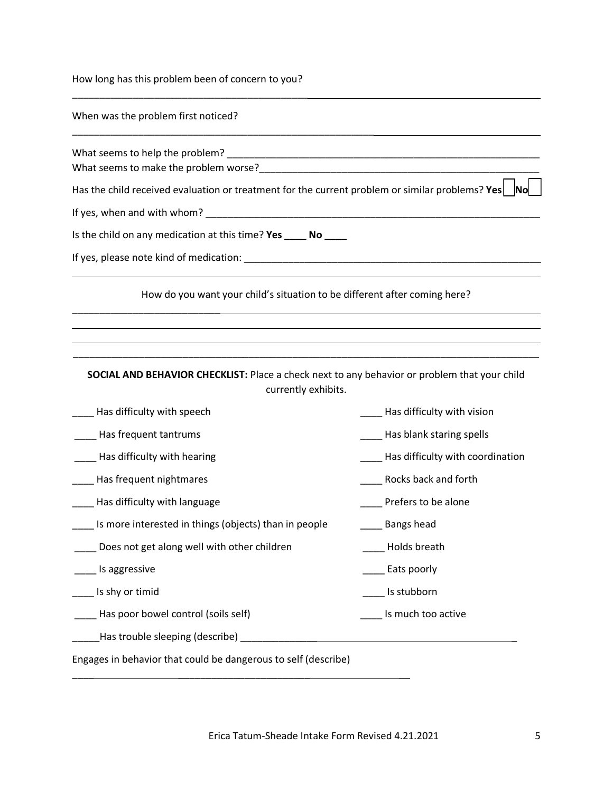How long has this problem been of concern to you? \_\_\_\_\_\_\_\_\_\_\_\_\_\_\_\_\_\_\_\_\_\_\_\_\_\_\_\_\_\_\_\_\_\_\_\_\_\_\_\_\_\_\_

When was the problem first noticed?

What seems to help the problem? \_\_\_\_\_\_\_\_\_\_\_\_\_\_\_\_\_\_\_\_\_\_\_\_\_\_\_\_\_\_\_\_\_\_\_\_\_\_\_\_\_\_\_\_\_\_\_\_\_\_\_\_\_\_\_\_\_ What seems to make the problem worse?\_\_\_\_\_\_\_\_\_\_\_\_\_\_\_\_\_\_\_\_\_\_\_\_\_\_\_\_\_\_\_\_\_\_\_\_\_\_\_\_\_\_\_\_\_\_\_\_\_\_\_

Has the child received evaluation or treatment for the current problem or similar problems? Yes  $\vert$  No  $\vert$ 

If yes, when and with whom? \_\_\_\_\_\_\_\_\_\_\_\_\_\_\_\_\_\_\_\_\_\_\_\_\_\_\_\_\_\_\_\_\_\_\_\_\_\_\_\_\_\_\_\_\_\_\_\_\_\_\_\_\_\_\_\_\_\_\_\_\_

L

L L

Is the child on any medication at this time? **Yes \_\_\_\_ No \_\_\_\_**

\_\_\_\_\_\_\_\_\_\_\_\_\_\_\_\_\_\_\_\_\_\_\_\_\_\_\_\_\_\_\_\_\_\_\_\_\_\_\_\_\_\_\_\_\_\_\_\_\_\_\_\_\_\_\_

| If yes, please note kind of medication: |  |
|-----------------------------------------|--|
|                                         |  |

\_\_\_\_\_\_\_\_\_\_\_\_\_\_\_\_\_\_\_\_\_\_\_\_\_\_\_

How do you want your child's situation to be different after coming here?

**SOCIAL AND BEHAVIOR CHECKLIST:** Place a check next to any behavior or problem that your child currently exhibits.

\_\_\_\_\_\_\_\_\_\_\_\_\_\_\_\_\_\_\_\_\_\_\_\_\_\_\_\_\_\_\_\_\_\_\_\_\_\_\_\_\_\_\_\_\_\_\_\_\_\_\_\_\_\_\_\_\_\_\_\_\_\_\_\_\_\_\_\_\_\_\_\_\_\_\_\_\_\_\_\_\_\_\_\_\_

| Has difficulty with speech                                     | Has difficulty with vision       |
|----------------------------------------------------------------|----------------------------------|
| Has frequent tantrums                                          | Has blank staring spells         |
| Has difficulty with hearing                                    | Has difficulty with coordination |
| Has frequent nightmares                                        | Rocks back and forth             |
| Has difficulty with language                                   | Prefers to be alone              |
| Is more interested in things (objects) than in people          | Bangs head                       |
| Does not get along well with other children                    | Holds breath                     |
| Is aggressive                                                  | Eats poorly                      |
| $\equiv$ Is shy or timid                                       | Is stubborn                      |
| Has poor bowel control (soils self)                            | Is much too active               |
| Has trouble sleeping (describe) _                              |                                  |
| Engages in behavior that could be dangerous to self (describe) |                                  |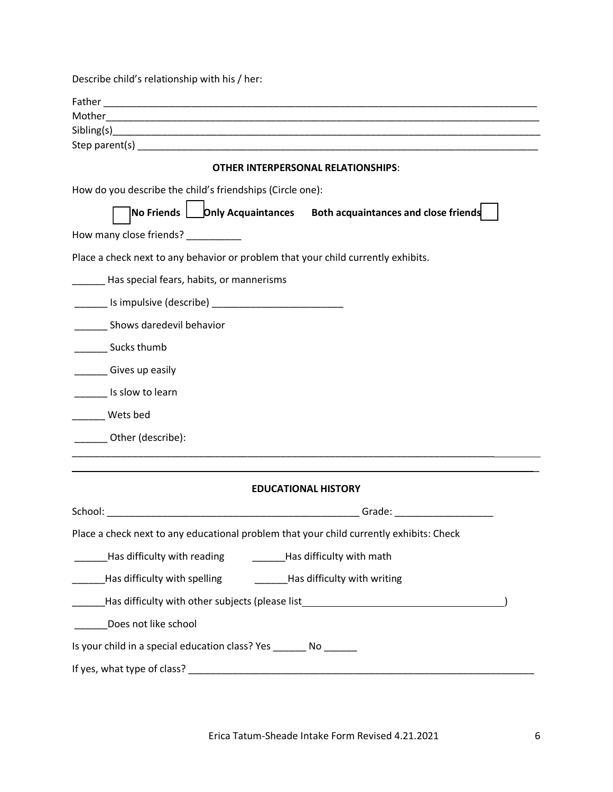Describe child's relationship with his / her:

| <b>OTHER INTERPERSONAL RELATIONSHIPS:</b>                                               |
|-----------------------------------------------------------------------------------------|
| How do you describe the child's friendships (Circle one):                               |
| $\vert$ No Friends $\vert$ Only Acquaintances Both acquaintances and close friends      |
| How many close friends? ___________                                                     |
| Place a check next to any behavior or problem that your child currently exhibits.       |
| Has special fears, habits, or mannerisms                                                |
|                                                                                         |
| Shows daredevil behavior                                                                |
| <b>Sucks thumb</b>                                                                      |
| Gives up easily                                                                         |
| Is slow to learn                                                                        |
| Wets bed                                                                                |
| Other (describe):                                                                       |
|                                                                                         |
| <b>EDUCATIONAL HISTORY</b>                                                              |
|                                                                                         |
| Place a check next to any educational problem that your child currently exhibits: Check |
| Has difficulty with reading The Has difficulty with math                                |
| Has difficulty with spelling Theory Has difficulty with writing<br>$\frac{1}{1}$        |
| Has difficulty with other subjects (please list_________________________________        |
| Does not like school                                                                    |
| Is your child in a special education class? Yes ________ No _______                     |
|                                                                                         |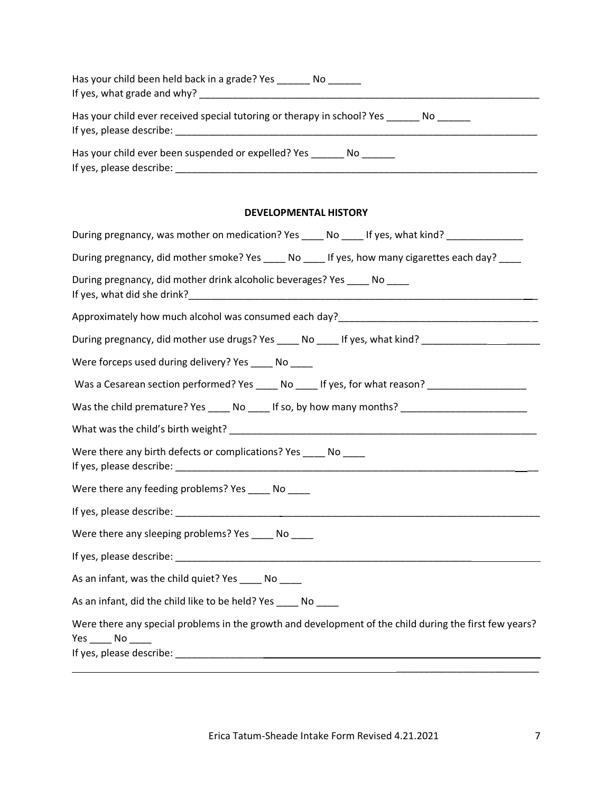| Has your child been held back in a grade? Yes No                                                                                                                                                                                                                                                                 |
|------------------------------------------------------------------------------------------------------------------------------------------------------------------------------------------------------------------------------------------------------------------------------------------------------------------|
| Has your child ever received special tutoring or therapy in school? Yes<br>No.<br>If yes, please describe: The annual property of the set of the set of the set of the set of the set of the set of the set of the set of the set of the set of the set of the set of the set of the set of the set of the set o |
| Has your child ever been suspended or expelled? Yes No<br>If yes, please describe:                                                                                                                                                                                                                               |

#### **DEVELOPMENTAL HISTORY**

| During pregnancy, was mother on medication? Yes _____ No ______ If yes, what kind? ________________    |  |  |  |  |  |  |
|--------------------------------------------------------------------------------------------------------|--|--|--|--|--|--|
| During pregnancy, did mother smoke? Yes _____ No _____ If yes, how many cigarettes each day?           |  |  |  |  |  |  |
| During pregnancy, did mother drink alcoholic beverages? Yes ____ No ____                               |  |  |  |  |  |  |
|                                                                                                        |  |  |  |  |  |  |
| During pregnancy, did mother use drugs? Yes ____ No ____ If yes, what kind? _______________________    |  |  |  |  |  |  |
| Were forceps used during delivery? Yes _____ No ____                                                   |  |  |  |  |  |  |
| Was a Cesarean section performed? Yes _____ No _____ If yes, for what reason? _____________________    |  |  |  |  |  |  |
| Was the child premature? Yes _____ No _____ If so, by how many months? ____________________________    |  |  |  |  |  |  |
|                                                                                                        |  |  |  |  |  |  |
| Were there any birth defects or complications? Yes _____ No ____                                       |  |  |  |  |  |  |
| Were there any feeding problems? Yes ____ No ____                                                      |  |  |  |  |  |  |
|                                                                                                        |  |  |  |  |  |  |
| Were there any sleeping problems? Yes _____ No ____                                                    |  |  |  |  |  |  |
|                                                                                                        |  |  |  |  |  |  |
| As an infant, was the child quiet? Yes ______ No _____                                                 |  |  |  |  |  |  |
| As an infant, did the child like to be held? Yes _____ No ____                                         |  |  |  |  |  |  |
| Were there any special problems in the growth and development of the child during the first few years? |  |  |  |  |  |  |
|                                                                                                        |  |  |  |  |  |  |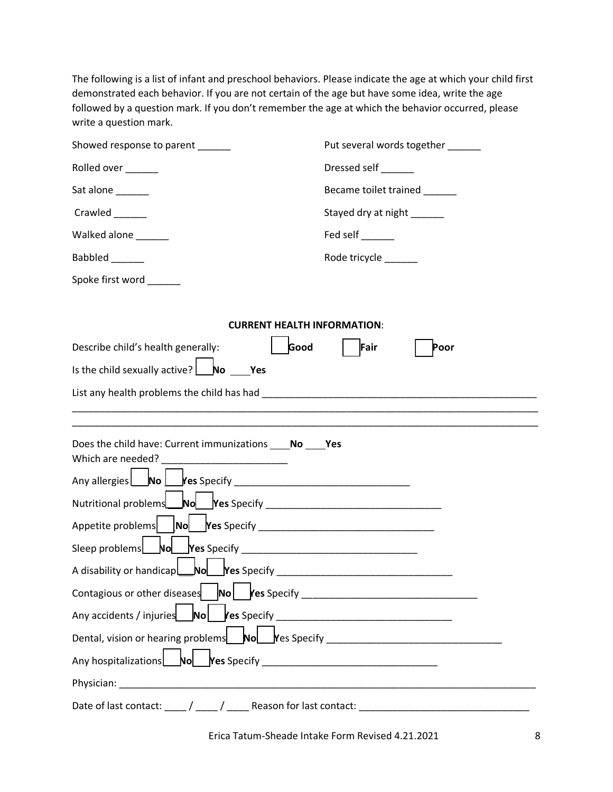The following is a list of infant and preschool behaviors. Please indicate the age at which your child first demonstrated each behavior. If you are not certain of the age but have some idea, write the age followed by a question mark. If you don't remember the age at which the behavior occurred, please write a question mark.

| Showed response to parent ______                                                                                                                                                                                                                                                                               | Put several words together |  |  |  |  |
|----------------------------------------------------------------------------------------------------------------------------------------------------------------------------------------------------------------------------------------------------------------------------------------------------------------|----------------------------|--|--|--|--|
| Rolled over ______                                                                                                                                                                                                                                                                                             | Dressed self               |  |  |  |  |
| Sat alone ______                                                                                                                                                                                                                                                                                               | Became toilet trained      |  |  |  |  |
| Crawled ______                                                                                                                                                                                                                                                                                                 | Stayed dry at night        |  |  |  |  |
| Walked alone                                                                                                                                                                                                                                                                                                   | Fed self                   |  |  |  |  |
| Babbled ______                                                                                                                                                                                                                                                                                                 | Rode tricycle ______       |  |  |  |  |
| Spoke first word ______                                                                                                                                                                                                                                                                                        |                            |  |  |  |  |
| <b>CURRENT HEALTH INFORMATION:</b>                                                                                                                                                                                                                                                                             |                            |  |  |  |  |
| Describe child's health generally:<br>Good                                                                                                                                                                                                                                                                     | Fair<br>Poor               |  |  |  |  |
| Is the child sexually active? $\Box$ No $\Box$ Yes                                                                                                                                                                                                                                                             |                            |  |  |  |  |
| List any health problems the child has had example to the control of the control of the control of the child has had                                                                                                                                                                                           |                            |  |  |  |  |
|                                                                                                                                                                                                                                                                                                                |                            |  |  |  |  |
| Does the child have: Current immunizations ____ No ____ Yes<br>Which are needed? Notice that the series of the series of the series of the series of the series of the series<br>Nutritional problems<br>Appetite problems<br>Dental, vision or hearing problems No Yes Specify ______________________________ |                            |  |  |  |  |
|                                                                                                                                                                                                                                                                                                                |                            |  |  |  |  |
|                                                                                                                                                                                                                                                                                                                |                            |  |  |  |  |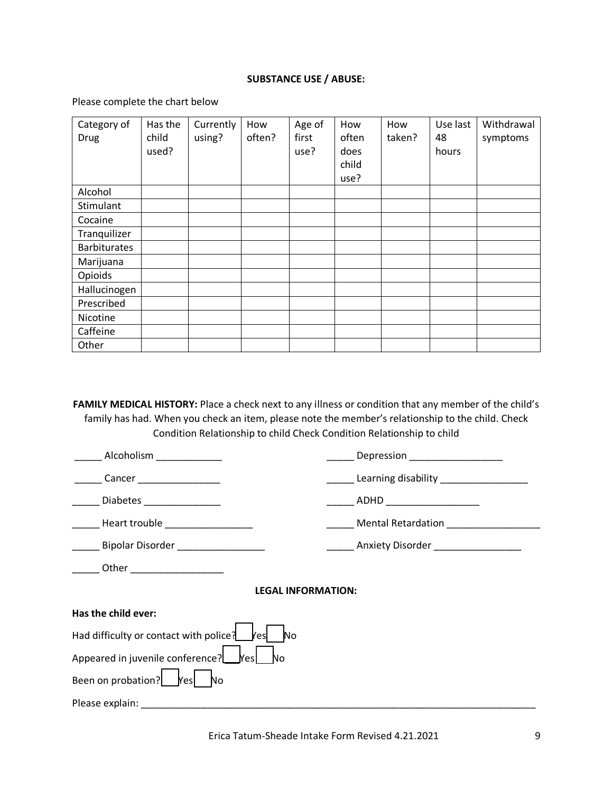#### **SUBSTANCE USE / ABUSE:**

Please complete the chart below

| Category of         | Has the | Currently | How    | Age of | How   | How    | Use last | Withdrawal |
|---------------------|---------|-----------|--------|--------|-------|--------|----------|------------|
| Drug                | child   | using?    | often? | first  | often | taken? | 48       | symptoms   |
|                     | used?   |           |        | use?   | does  |        | hours    |            |
|                     |         |           |        |        | child |        |          |            |
|                     |         |           |        |        | use?  |        |          |            |
| Alcohol             |         |           |        |        |       |        |          |            |
| Stimulant           |         |           |        |        |       |        |          |            |
| Cocaine             |         |           |        |        |       |        |          |            |
| Tranquilizer        |         |           |        |        |       |        |          |            |
| <b>Barbiturates</b> |         |           |        |        |       |        |          |            |
| Marijuana           |         |           |        |        |       |        |          |            |
| Opioids             |         |           |        |        |       |        |          |            |
| Hallucinogen        |         |           |        |        |       |        |          |            |
| Prescribed          |         |           |        |        |       |        |          |            |
| Nicotine            |         |           |        |        |       |        |          |            |
| Caffeine            |         |           |        |        |       |        |          |            |
| Other               |         |           |        |        |       |        |          |            |

**FAMILY MEDICAL HISTORY:** Place a check next to any illness or condition that any member of the child's family has had. When you check an item, please note the member's relationship to the child. Check Condition Relationship to child Check Condition Relationship to child

| Alcoholism __                                                                                                                                                                                                                  | Depression _________________            |  |
|--------------------------------------------------------------------------------------------------------------------------------------------------------------------------------------------------------------------------------|-----------------------------------------|--|
| Cancer _________________                                                                                                                                                                                                       | Learning disability ___________________ |  |
| Diabetes ________________                                                                                                                                                                                                      | __ ADHD ______________________          |  |
| Heart trouble _________________                                                                                                                                                                                                | Mental Retardation Mental Retardation   |  |
| _________ Bipolar Disorder ______________________                                                                                                                                                                              | Anxiety Disorder ________________       |  |
| Other ______________________                                                                                                                                                                                                   |                                         |  |
| <b>LEGAL INFORMATION:</b>                                                                                                                                                                                                      |                                         |  |
| Has the child ever:                                                                                                                                                                                                            |                                         |  |
| Had difficulty or contact with police? $\frac{1}{2}$ $\left  \cos \theta \right $<br>No                                                                                                                                        |                                         |  |
| Appeared in juvenile conference?     Yes<br>No                                                                                                                                                                                 |                                         |  |
| Been on probation? $\mathbf{F}$ $\mathbf{F}$ $\mathbf{F}$<br>No                                                                                                                                                                |                                         |  |
| Please explain: The contract of the contract of the contract of the contract of the contract of the contract of the contract of the contract of the contract of the contract of the contract of the contract of the contract o |                                         |  |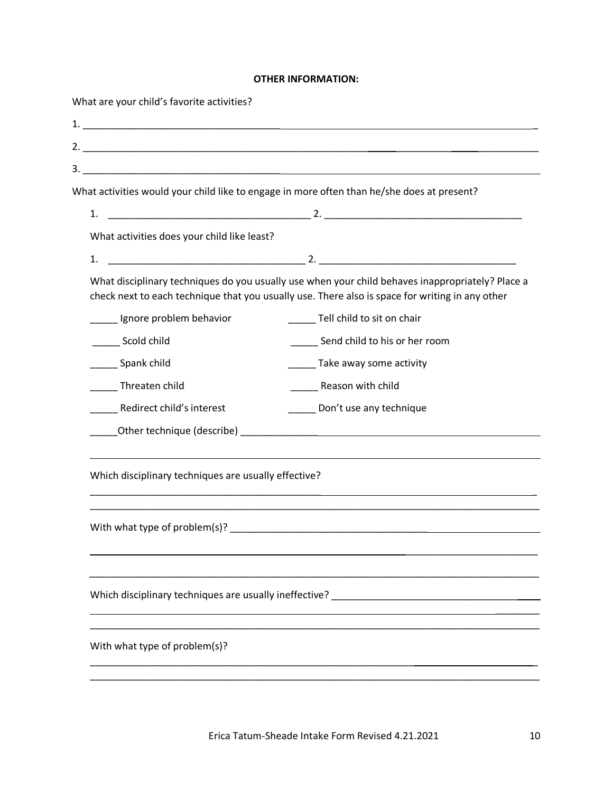#### **OTHER INFORMATION:**

| What are your child's favorite activities?                                                 |                                                                                                                                                                                                     |
|--------------------------------------------------------------------------------------------|-----------------------------------------------------------------------------------------------------------------------------------------------------------------------------------------------------|
|                                                                                            |                                                                                                                                                                                                     |
|                                                                                            |                                                                                                                                                                                                     |
|                                                                                            |                                                                                                                                                                                                     |
| What activities would your child like to engage in more often than he/she does at present? |                                                                                                                                                                                                     |
|                                                                                            |                                                                                                                                                                                                     |
| What activities does your child like least?                                                |                                                                                                                                                                                                     |
| 1.                                                                                         |                                                                                                                                                                                                     |
|                                                                                            | What disciplinary techniques do you usually use when your child behaves inappropriately? Place a<br>check next to each technique that you usually use. There also is space for writing in any other |
| _____ Ignore problem behavior                                                              | Tell child to sit on chair                                                                                                                                                                          |
| Scold child                                                                                | Send child to his or her room                                                                                                                                                                       |
| Spank child                                                                                | Take away some activity                                                                                                                                                                             |
| Threaten child                                                                             | Reason with child                                                                                                                                                                                   |
| Redirect child's interest                                                                  | Don't use any technique                                                                                                                                                                             |
|                                                                                            |                                                                                                                                                                                                     |
| Which disciplinary techniques are usually effective?                                       | ,我们也不能在这里的时候,我们也不能在这里的时候,我们也不能在这里的时候,我们也不能会在这里的时候,我们也不能会在这里的时候,我们也不能会在这里的时候,我们也不                                                                                                                    |
|                                                                                            |                                                                                                                                                                                                     |
| Which disciplinary techniques are usually ineffective?                                     |                                                                                                                                                                                                     |
| With what type of problem(s)?                                                              |                                                                                                                                                                                                     |
|                                                                                            |                                                                                                                                                                                                     |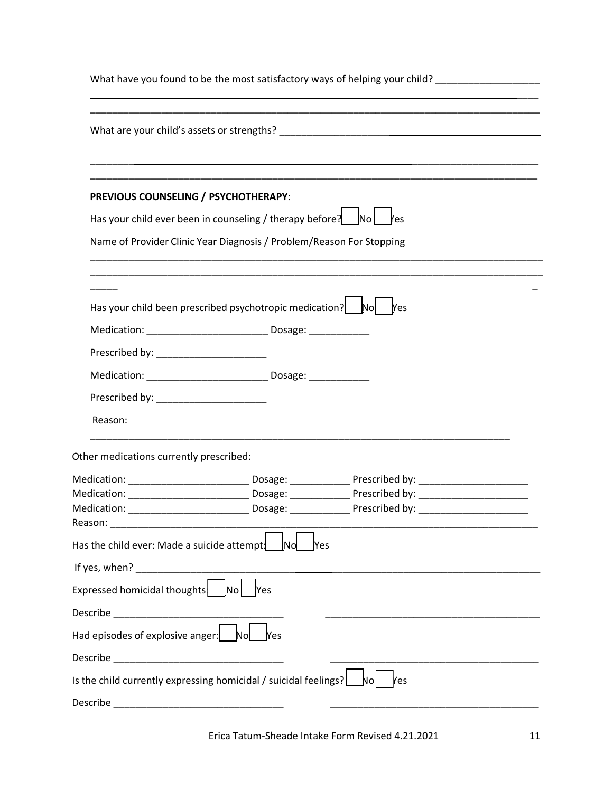|                                                                           |                                                                                                                                                                       | What have you found to be the most satisfactory ways of helping your child? ______________________ |  |
|---------------------------------------------------------------------------|-----------------------------------------------------------------------------------------------------------------------------------------------------------------------|----------------------------------------------------------------------------------------------------|--|
|                                                                           |                                                                                                                                                                       |                                                                                                    |  |
| PREVIOUS COUNSELING / PSYCHOTHERAPY:                                      | Has your child ever been in counseling / therapy before? $\blacksquare$ No $\blacksquare$ /es<br>Name of Provider Clinic Year Diagnosis / Problem/Reason For Stopping | <u> 1980 - Jan James James Santan (j. 1980)</u>                                                    |  |
|                                                                           | Has your child been prescribed psychotropic medication? No Nes                                                                                                        |                                                                                                    |  |
|                                                                           | Medication: ____________________________ Dosage: ______________                                                                                                       |                                                                                                    |  |
|                                                                           |                                                                                                                                                                       |                                                                                                    |  |
|                                                                           | Medication: _________________________________ Dosage: __________________________                                                                                      |                                                                                                    |  |
|                                                                           |                                                                                                                                                                       |                                                                                                    |  |
| Reason:                                                                   |                                                                                                                                                                       |                                                                                                    |  |
| Other medications currently prescribed:                                   |                                                                                                                                                                       |                                                                                                    |  |
|                                                                           |                                                                                                                                                                       |                                                                                                    |  |
|                                                                           |                                                                                                                                                                       |                                                                                                    |  |
| Reason:                                                                   |                                                                                                                                                                       |                                                                                                    |  |
| Has the child ever: Made a suicide attempt: $\Box$                        | lNd<br>Yes                                                                                                                                                            |                                                                                                    |  |
|                                                                           |                                                                                                                                                                       |                                                                                                    |  |
| Expressed homicidal thoughts                                              | No <br><b>Nes</b>                                                                                                                                                     |                                                                                                    |  |
|                                                                           |                                                                                                                                                                       |                                                                                                    |  |
| Had episodes of explosive anger: $\lfloor$ $\lfloor$ $\mathsf{No}\rfloor$ | <b>Yes</b>                                                                                                                                                            |                                                                                                    |  |
|                                                                           | Describe <b>Exercise Service Service Service Service</b> Service Service Service Service Service Service Service Service                                              |                                                                                                    |  |
|                                                                           | Is the child currently expressing homicidal / suicidal feelings?                                                                                                      | Yes<br>Nol                                                                                         |  |
| Describe                                                                  |                                                                                                                                                                       |                                                                                                    |  |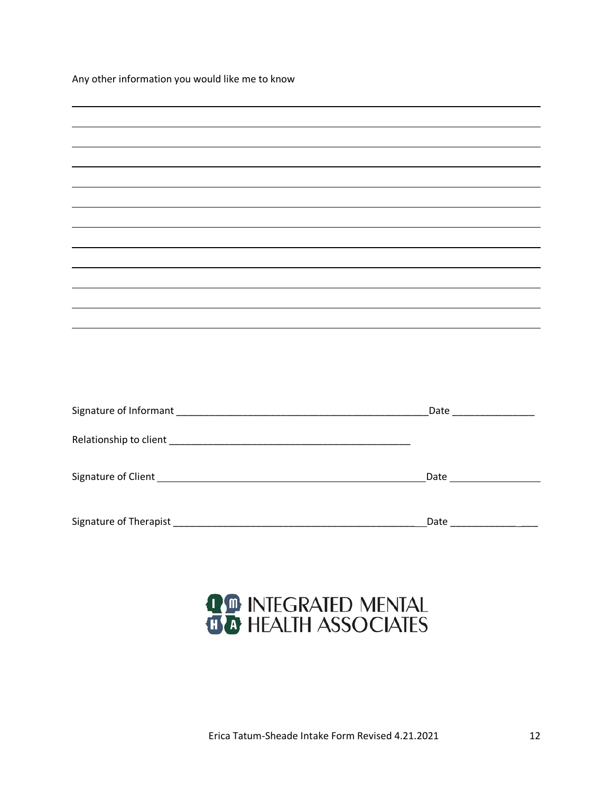Any other information you would like me to know

| ,我们也不会有什么?""我们的人,我们也不会有什么?""我们的人,我们也不会有什么?""我们的人,我们也不会有什么?""我们的人,我们也不会有什么?""我们的人 |                              |
|----------------------------------------------------------------------------------|------------------------------|
|                                                                                  |                              |
|                                                                                  |                              |
|                                                                                  |                              |
|                                                                                  |                              |
|                                                                                  | _Date ______________________ |
|                                                                                  |                              |
|                                                                                  |                              |
|                                                                                  |                              |
|                                                                                  |                              |
|                                                                                  |                              |
| Signature of Therapist _____________                                             | Date                         |

# **QO INTEGRATED MENTAL<br>TO HEALTH ASSOCIATES**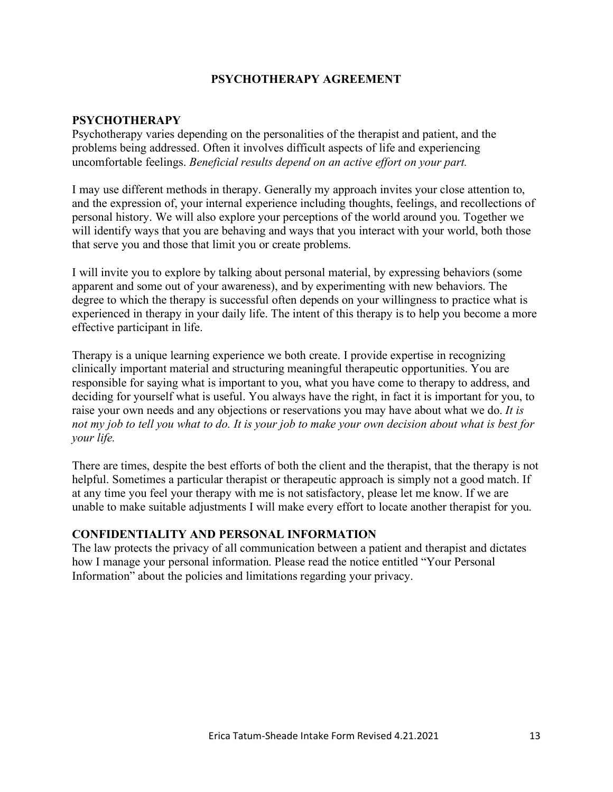## **PSYCHOTHERAPY AGREEMENT**

#### **PSYCHOTHERAPY**

Psychotherapy varies depending on the personalities of the therapist and patient, and the problems being addressed. Often it involves difficult aspects of life and experiencing uncomfortable feelings. *Beneficial results depend on an active effort on your part.*

I may use different methods in therapy. Generally my approach invites your close attention to, and the expression of, your internal experience including thoughts, feelings, and recollections of personal history. We will also explore your perceptions of the world around you. Together we will identify ways that you are behaving and ways that you interact with your world, both those that serve you and those that limit you or create problems.

I will invite you to explore by talking about personal material, by expressing behaviors (some apparent and some out of your awareness), and by experimenting with new behaviors. The degree to which the therapy is successful often depends on your willingness to practice what is experienced in therapy in your daily life. The intent of this therapy is to help you become a more effective participant in life.

Therapy is a unique learning experience we both create. I provide expertise in recognizing clinically important material and structuring meaningful therapeutic opportunities. You are responsible for saying what is important to you, what you have come to therapy to address, and deciding for yourself what is useful. You always have the right, in fact it is important for you, to raise your own needs and any objections or reservations you may have about what we do. *It is not my job to tell you what to do. It is your job to make your own decision about what is best for your life.*

There are times, despite the best efforts of both the client and the therapist, that the therapy is not helpful. Sometimes a particular therapist or therapeutic approach is simply not a good match. If at any time you feel your therapy with me is not satisfactory, please let me know. If we are unable to make suitable adjustments I will make every effort to locate another therapist for you.

# **CONFIDENTIALITY AND PERSONAL INFORMATION**

The law protects the privacy of all communication between a patient and therapist and dictates how I manage your personal information. Please read the notice entitled "Your Personal Information" about the policies and limitations regarding your privacy.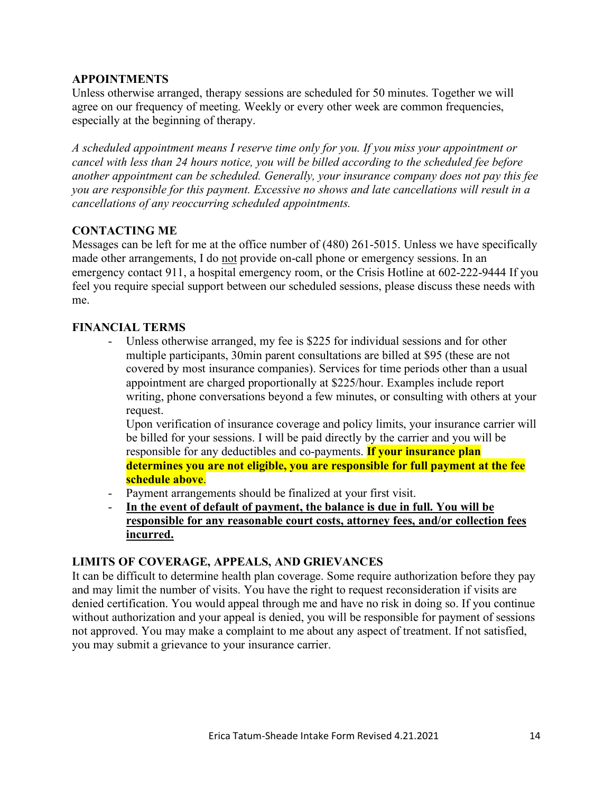# **APPOINTMENTS**

Unless otherwise arranged, therapy sessions are scheduled for 50 minutes. Together we will agree on our frequency of meeting. Weekly or every other week are common frequencies, especially at the beginning of therapy.

*A scheduled appointment means I reserve time only for you. If you miss your appointment or cancel with less than 24 hours notice, you will be billed according to the scheduled fee before another appointment can be scheduled. Generally, your insurance company does not pay this fee you are responsible for this payment. Excessive no shows and late cancellations will result in a cancellations of any reoccurring scheduled appointments.*

# **CONTACTING ME**

Messages can be left for me at the office number of (480) 261-5015. Unless we have specifically made other arrangements, I do not provide on-call phone or emergency sessions. In an emergency contact 911, a hospital emergency room, or the Crisis Hotline at 602-222-9444 If you feel you require special support between our scheduled sessions, please discuss these needs with me.

# **FINANCIAL TERMS**

- Unless otherwise arranged, my fee is \$225 for individual sessions and for other multiple participants, 30min parent consultations are billed at \$95 (these are not covered by most insurance companies). Services for time periods other than a usual appointment are charged proportionally at \$225/hour. Examples include report writing, phone conversations beyond a few minutes, or consulting with others at your request.

Upon verification of insurance coverage and policy limits, your insurance carrier will be billed for your sessions. I will be paid directly by the carrier and you will be responsible for any deductibles and co-payments. **If your insurance plan determines you are not eligible, you are responsible for full payment at the fee schedule above**.

- Payment arrangements should be finalized at your first visit.
- **In the event of default of payment, the balance is due in full. You will be responsible for any reasonable court costs, attorney fees, and/or collection fees incurred.**

# **LIMITS OF COVERAGE, APPEALS, AND GRIEVANCES**

It can be difficult to determine health plan coverage. Some require authorization before they pay and may limit the number of visits. You have the right to request reconsideration if visits are denied certification. You would appeal through me and have no risk in doing so. If you continue without authorization and your appeal is denied, you will be responsible for payment of sessions not approved. You may make a complaint to me about any aspect of treatment. If not satisfied, you may submit a grievance to your insurance carrier.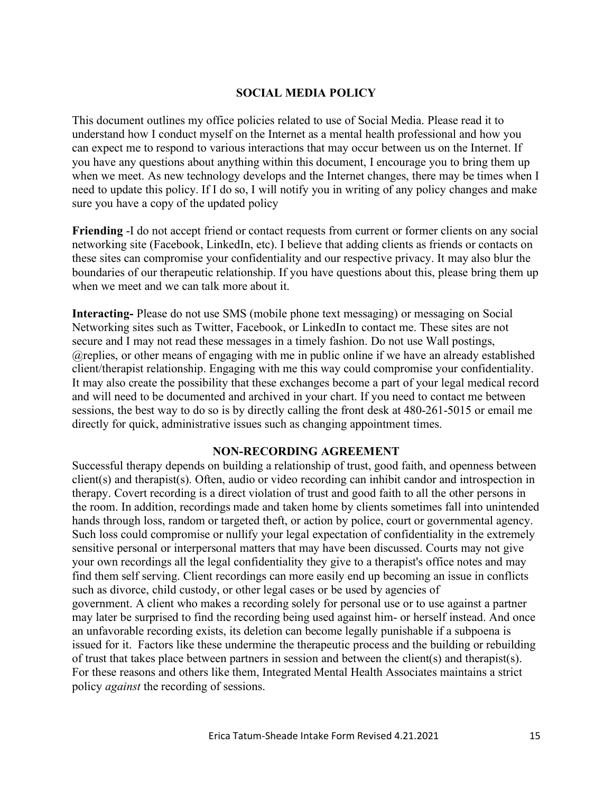#### **SOCIAL MEDIA POLICY**

This document outlines my office policies related to use of Social Media. Please read it to understand how I conduct myself on the Internet as a mental health professional and how you can expect me to respond to various interactions that may occur between us on the Internet. If you have any questions about anything within this document, I encourage you to bring them up when we meet. As new technology develops and the Internet changes, there may be times when I need to update this policy. If I do so, I will notify you in writing of any policy changes and make sure you have a copy of the updated policy

**Friending** -I do not accept friend or contact requests from current or former clients on any social networking site (Facebook, LinkedIn, etc). I believe that adding clients as friends or contacts on these sites can compromise your confidentiality and our respective privacy. It may also blur the boundaries of our therapeutic relationship. If you have questions about this, please bring them up when we meet and we can talk more about it.

**Interacting-** Please do not use SMS (mobile phone text messaging) or messaging on Social Networking sites such as Twitter, Facebook, or LinkedIn to contact me. These sites are not secure and I may not read these messages in a timely fashion. Do not use Wall postings, @replies, or other means of engaging with me in public online if we have an already established client/therapist relationship. Engaging with me this way could compromise your confidentiality. It may also create the possibility that these exchanges become a part of your legal medical record and will need to be documented and archived in your chart. If you need to contact me between sessions, the best way to do so is by directly calling the front desk at 480-261-5015 or email me directly for quick, administrative issues such as changing appointment times.

#### **NON-RECORDING AGREEMENT**

Successful therapy depends on building a relationship of trust, good faith, and openness between client(s) and therapist(s). Often, audio or video recording can inhibit candor and introspection in therapy. Covert recording is a direct violation of trust and good faith to all the other persons in the room. In addition, recordings made and taken home by clients sometimes fall into unintended hands through loss, random or targeted theft, or action by police, court or governmental agency. Such loss could compromise or nullify your legal expectation of confidentiality in the extremely sensitive personal or interpersonal matters that may have been discussed. Courts may not give your own recordings all the legal confidentiality they give to a therapist's office notes and may find them self serving. Client recordings can more easily end up becoming an issue in conflicts such as divorce, child custody, or other legal cases or be used by agencies of government. A client who makes a recording solely for personal use or to use against a partner may later be surprised to find the recording being used against him- or herself instead. And once an unfavorable recording exists, its deletion can become legally punishable if a subpoena is issued for it. Factors like these undermine the therapeutic process and the building or rebuilding of trust that takes place between partners in session and between the client(s) and therapist(s). For these reasons and others like them, Integrated Mental Health Associates maintains a strict policy *against* the recording of sessions.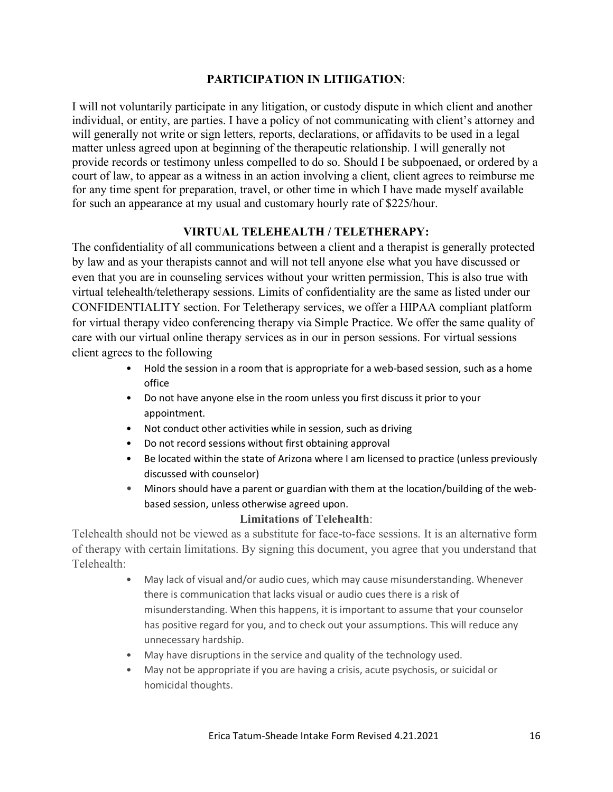## **PARTICIPATION IN LITIIGATION**:

I will not voluntarily participate in any litigation, or custody dispute in which client and another individual, or entity, are parties. I have a policy of not communicating with client's attorney and will generally not write or sign letters, reports, declarations, or affidavits to be used in a legal matter unless agreed upon at beginning of the therapeutic relationship. I will generally not provide records or testimony unless compelled to do so. Should I be subpoenaed, or ordered by a court of law, to appear as a witness in an action involving a client, client agrees to reimburse me for any time spent for preparation, travel, or other time in which I have made myself available for such an appearance at my usual and customary hourly rate of \$225/hour.

#### **VIRTUAL TELEHEALTH / TELETHERAPY:**

The confidentiality of all communications between a client and a therapist is generally protected by law and as your therapists cannot and will not tell anyone else what you have discussed or even that you are in counseling services without your written permission, This is also true with virtual telehealth/teletherapy sessions. Limits of confidentiality are the same as listed under our CONFIDENTIALITY section. For Teletherapy services, we offer a HIPAA compliant platform for virtual therapy video conferencing therapy via Simple Practice. We offer the same quality of care with our virtual online therapy services as in our in person sessions. For virtual sessions client agrees to the following

- Hold the session in a room that is appropriate for a web-based session, such as a home office
- Do not have anyone else in the room unless you first discuss it prior to your appointment.
- Not conduct other activities while in session, such as driving
- Do not record sessions without first obtaining approval
- Be located within the state of Arizona where I am licensed to practice (unless previously discussed with counselor)
- Minors should have a parent or guardian with them at the location/building of the webbased session, unless otherwise agreed upon.

# **Limitations of Telehealth**:

Telehealth should not be viewed as a substitute for face-to-face sessions. It is an alternative form of therapy with certain limitations. By signing this document, you agree that you understand that Telehealth:

- May lack of visual and/or audio cues, which may cause misunderstanding. Whenever there is communication that lacks visual or audio cues there is a risk of misunderstanding. When this happens, it is important to assume that your counselor has positive regard for you, and to check out your assumptions. This will reduce any unnecessary hardship.
- May have disruptions in the service and quality of the technology used.
- May not be appropriate if you are having a crisis, acute psychosis, or suicidal or homicidal thoughts.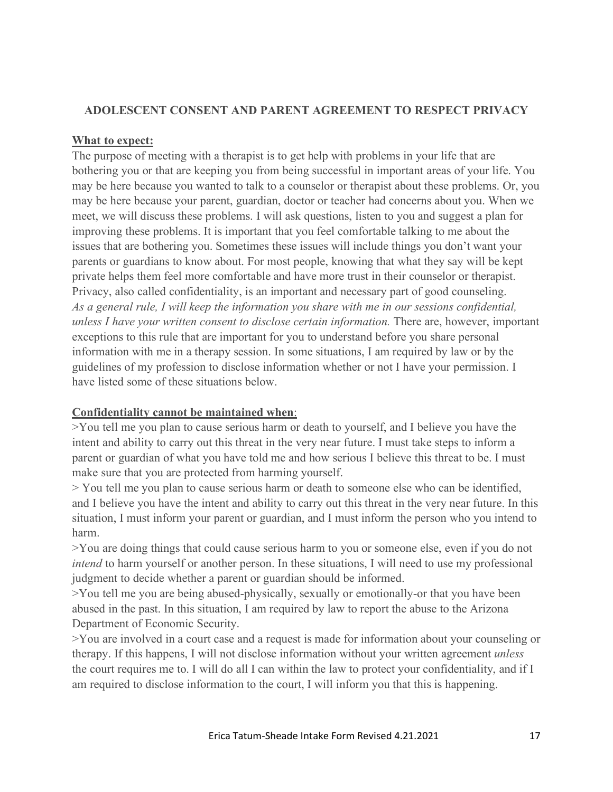# **ADOLESCENT CONSENT AND PARENT AGREEMENT TO RESPECT PRIVACY**

#### **What to expect:**

The purpose of meeting with a therapist is to get help with problems in your life that are bothering you or that are keeping you from being successful in important areas of your life. You may be here because you wanted to talk to a counselor or therapist about these problems. Or, you may be here because your parent, guardian, doctor or teacher had concerns about you. When we meet, we will discuss these problems. I will ask questions, listen to you and suggest a plan for improving these problems. It is important that you feel comfortable talking to me about the issues that are bothering you. Sometimes these issues will include things you don't want your parents or guardians to know about. For most people, knowing that what they say will be kept private helps them feel more comfortable and have more trust in their counselor or therapist. Privacy, also called confidentiality, is an important and necessary part of good counseling. *As a general rule, I will keep the information you share with me in our sessions confidential, unless I have your written consent to disclose certain information.* There are, however, important exceptions to this rule that are important for you to understand before you share personal information with me in a therapy session. In some situations, I am required by law or by the guidelines of my profession to disclose information whether or not I have your permission. I have listed some of these situations below.

# **Confidentiality cannot be maintained when**:

>You tell me you plan to cause serious harm or death to yourself, and I believe you have the intent and ability to carry out this threat in the very near future. I must take steps to inform a parent or guardian of what you have told me and how serious I believe this threat to be. I must make sure that you are protected from harming yourself.

> You tell me you plan to cause serious harm or death to someone else who can be identified, and I believe you have the intent and ability to carry out this threat in the very near future. In this situation, I must inform your parent or guardian, and I must inform the person who you intend to harm.

>You are doing things that could cause serious harm to you or someone else, even if you do not *intend* to harm yourself or another person. In these situations, I will need to use my professional judgment to decide whether a parent or guardian should be informed.

>You tell me you are being abused-physically, sexually or emotionally-or that you have been abused in the past. In this situation, I am required by law to report the abuse to the Arizona Department of Economic Security.

>You are involved in a court case and a request is made for information about your counseling or therapy. If this happens, I will not disclose information without your written agreement *unless*  the court requires me to. I will do all I can within the law to protect your confidentiality, and if I am required to disclose information to the court, I will inform you that this is happening.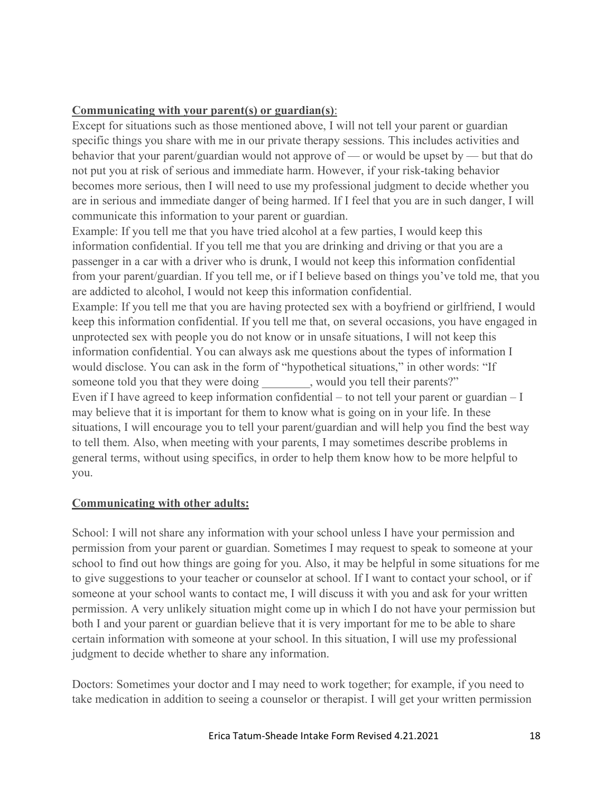# **Communicating with your parent(s) or guardian(s)**:

Except for situations such as those mentioned above, I will not tell your parent or guardian specific things you share with me in our private therapy sessions. This includes activities and behavior that your parent/guardian would not approve of — or would be upset by — but that do not put you at risk of serious and immediate harm. However, if your risk-taking behavior becomes more serious, then I will need to use my professional judgment to decide whether you are in serious and immediate danger of being harmed. If I feel that you are in such danger, I will communicate this information to your parent or guardian.

Example: If you tell me that you have tried alcohol at a few parties, I would keep this information confidential. If you tell me that you are drinking and driving or that you are a passenger in a car with a driver who is drunk, I would not keep this information confidential from your parent/guardian. If you tell me, or if I believe based on things you've told me, that you are addicted to alcohol, I would not keep this information confidential.

Example: If you tell me that you are having protected sex with a boyfriend or girlfriend, I would keep this information confidential. If you tell me that, on several occasions, you have engaged in unprotected sex with people you do not know or in unsafe situations, I will not keep this information confidential. You can always ask me questions about the types of information I would disclose. You can ask in the form of "hypothetical situations," in other words: "If someone told you that they were doing , would you tell their parents?" Even if I have agreed to keep information confidential – to not tell your parent or guardian – I may believe that it is important for them to know what is going on in your life. In these situations, I will encourage you to tell your parent/guardian and will help you find the best way to tell them. Also, when meeting with your parents, I may sometimes describe problems in general terms, without using specifics, in order to help them know how to be more helpful to you.

# **Communicating with other adults:**

School: I will not share any information with your school unless I have your permission and permission from your parent or guardian. Sometimes I may request to speak to someone at your school to find out how things are going for you. Also, it may be helpful in some situations for me to give suggestions to your teacher or counselor at school. If I want to contact your school, or if someone at your school wants to contact me, I will discuss it with you and ask for your written permission. A very unlikely situation might come up in which I do not have your permission but both I and your parent or guardian believe that it is very important for me to be able to share certain information with someone at your school. In this situation, I will use my professional judgment to decide whether to share any information.

Doctors: Sometimes your doctor and I may need to work together; for example, if you need to take medication in addition to seeing a counselor or therapist. I will get your written permission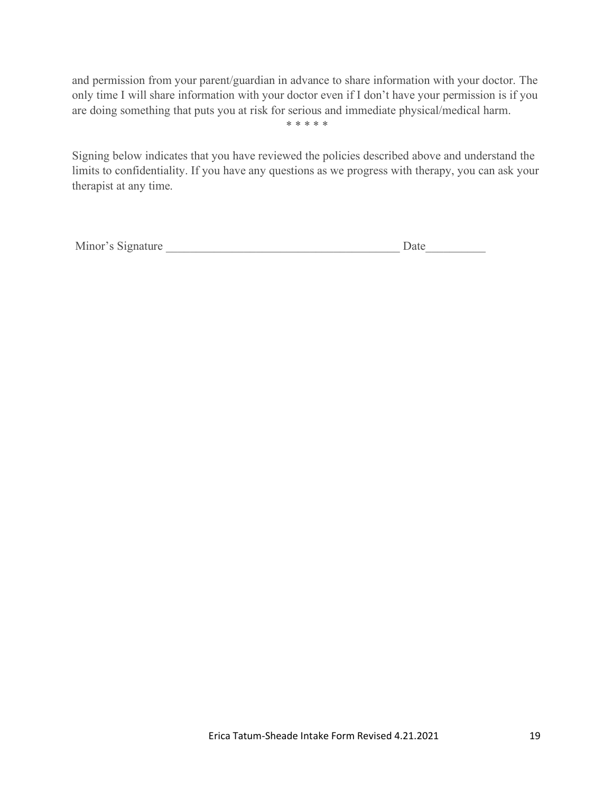and permission from your parent/guardian in advance to share information with your doctor. The only time I will share information with your doctor even if I don't have your permission is if you are doing something that puts you at risk for serious and immediate physical/medical harm. *\* \* \* \* \**

Signing below indicates that you have reviewed the policies described above and understand the limits to confidentiality. If you have any questions as we progress with therapy, you can ask your therapist at any time.

| Minor's Signature |  |
|-------------------|--|
|                   |  |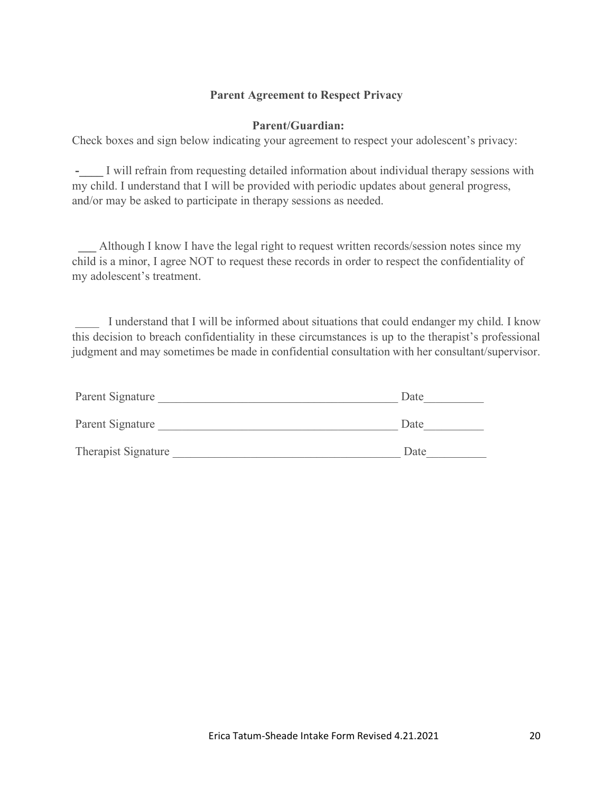## **Parent Agreement to Respect Privacy**

#### **Parent/Guardian:**

Check boxes and sign below indicating your agreement to respect your adolescent's privacy:

**-\_\_\_\_** I will refrain from requesting detailed information about individual therapy sessions with my child. I understand that I will be provided with periodic updates about general progress, and/or may be asked to participate in therapy sessions as needed.

Although I know I have the legal right to request written records/session notes since my child is a minor, I agree NOT to request these records in order to respect the confidentiality of my adolescent's treatment.

I understand that I will be informed about situations that could endanger my child. I know this decision to breach confidentiality in these circumstances is up to the therapist's professional judgment and may sometimes be made in confidential consultation with her consultant/supervisor.

| Parent Signature    | Date |
|---------------------|------|
| Parent Signature    | Date |
| Therapist Signature | Date |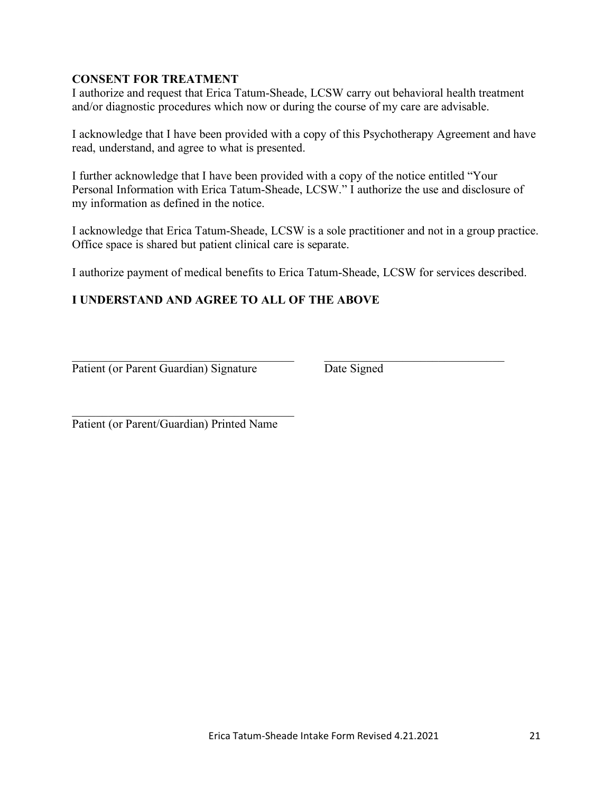## **CONSENT FOR TREATMENT**

I authorize and request that Erica Tatum-Sheade, LCSW carry out behavioral health treatment and/or diagnostic procedures which now or during the course of my care are advisable.

I acknowledge that I have been provided with a copy of this Psychotherapy Agreement and have read, understand, and agree to what is presented.

I further acknowledge that I have been provided with a copy of the notice entitled "Your Personal Information with Erica Tatum-Sheade, LCSW." I authorize the use and disclosure of my information as defined in the notice.

I acknowledge that Erica Tatum-Sheade, LCSW is a sole practitioner and not in a group practice. Office space is shared but patient clinical care is separate.

I authorize payment of medical benefits to Erica Tatum-Sheade, LCSW for services described.

# **I UNDERSTAND AND AGREE TO ALL OF THE ABOVE**

Patient (or Parent Guardian) Signature Date Signed

Patient (or Parent/Guardian) Printed Name

\_\_\_\_\_\_\_\_\_\_\_\_\_\_\_\_\_\_\_\_\_\_\_\_\_\_\_\_\_\_\_\_\_\_\_\_\_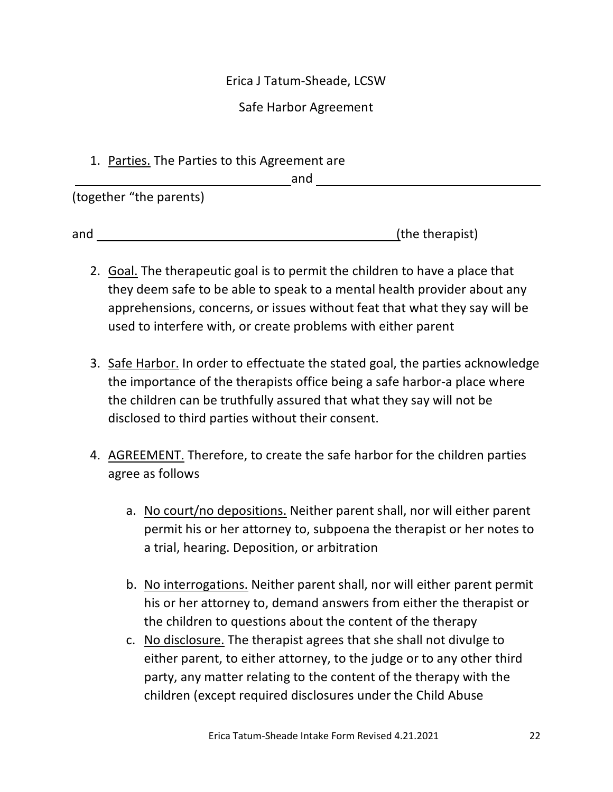# Erica J Tatum-Sheade, LCSW

# Safe Harbor Agreement

1. Parties. The Parties to this Agreement are

and

(together "the parents)

and (the therapist)

- 2. Goal. The therapeutic goal is to permit the children to have a place that they deem safe to be able to speak to a mental health provider about any apprehensions, concerns, or issues without feat that what they say will be used to interfere with, or create problems with either parent
- 3. Safe Harbor. In order to effectuate the stated goal, the parties acknowledge the importance of the therapists office being a safe harbor-a place where the children can be truthfully assured that what they say will not be disclosed to third parties without their consent.
- 4. AGREEMENT. Therefore, to create the safe harbor for the children parties agree as follows
	- a. No court/no depositions. Neither parent shall, nor will either parent permit his or her attorney to, subpoena the therapist or her notes to a trial, hearing. Deposition, or arbitration
	- b. No interrogations. Neither parent shall, nor will either parent permit his or her attorney to, demand answers from either the therapist or the children to questions about the content of the therapy
	- c. No disclosure. The therapist agrees that she shall not divulge to either parent, to either attorney, to the judge or to any other third party, any matter relating to the content of the therapy with the children (except required disclosures under the Child Abuse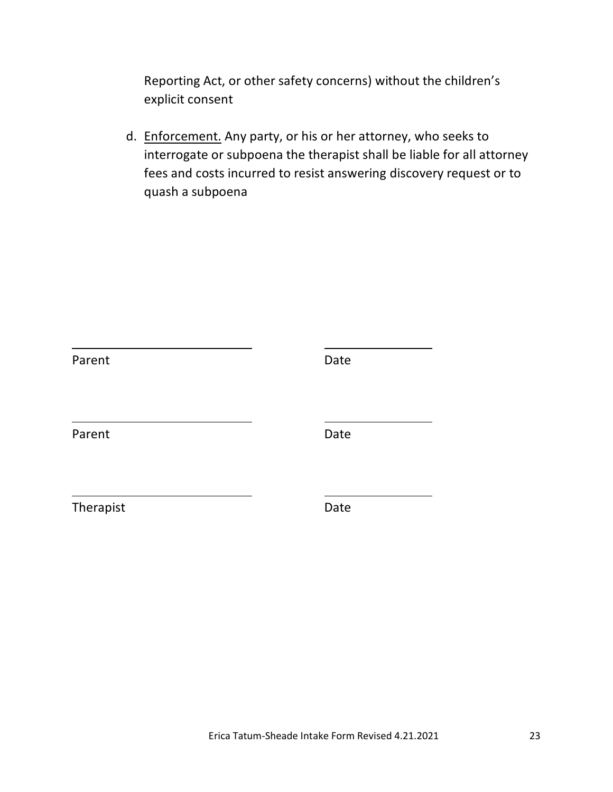Reporting Act, or other safety concerns) without the children's explicit consent

d. Enforcement. Any party, or his or her attorney, who seeks to interrogate or subpoena the therapist shall be liable for all attorney fees and costs incurred to resist answering discovery request or to quash a subpoena

| Parent    | Date |
|-----------|------|
| Parent    | Date |
| Therapist | Date |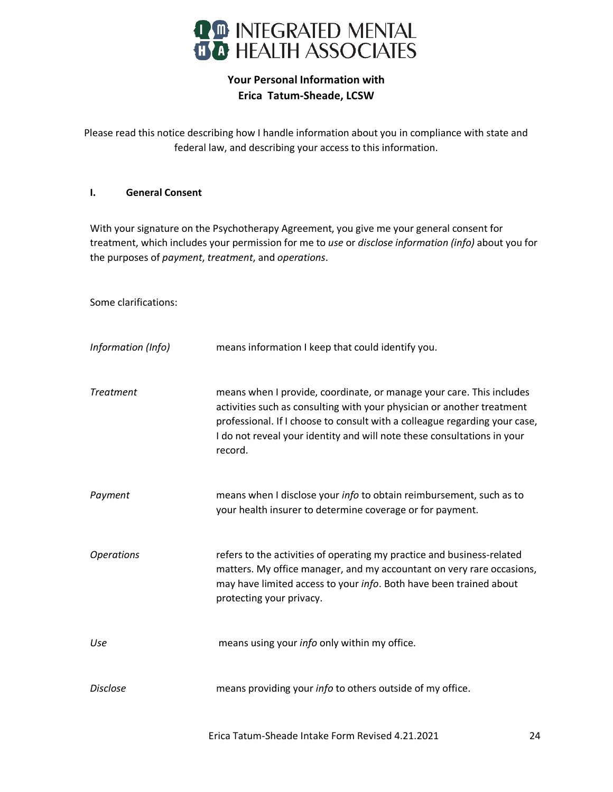

# **Your Personal Information with Erica Tatum-Sheade, LCSW**

Please read this notice describing how I handle information about you in compliance with state and federal law, and describing your access to this information.

#### **I. General Consent**

With your signature on the Psychotherapy Agreement, you give me your general consent for treatment, which includes your permission for me to *use* or *disclose information (info)* about you for the purposes of *payment*, *treatment*, and *operations*.

Some clarifications:

| Information (Info) | means information I keep that could identify you.                                                                                                                                                                                                                                                                  |
|--------------------|--------------------------------------------------------------------------------------------------------------------------------------------------------------------------------------------------------------------------------------------------------------------------------------------------------------------|
| <b>Treatment</b>   | means when I provide, coordinate, or manage your care. This includes<br>activities such as consulting with your physician or another treatment<br>professional. If I choose to consult with a colleague regarding your case,<br>I do not reveal your identity and will note these consultations in your<br>record. |
| Payment            | means when I disclose your <i>info</i> to obtain reimbursement, such as to<br>your health insurer to determine coverage or for payment.                                                                                                                                                                            |
| <b>Operations</b>  | refers to the activities of operating my practice and business-related<br>matters. My office manager, and my accountant on very rare occasions,<br>may have limited access to your info. Both have been trained about<br>protecting your privacy.                                                                  |
| Use                | means using your info only within my office.                                                                                                                                                                                                                                                                       |
| <b>Disclose</b>    | means providing your info to others outside of my office.                                                                                                                                                                                                                                                          |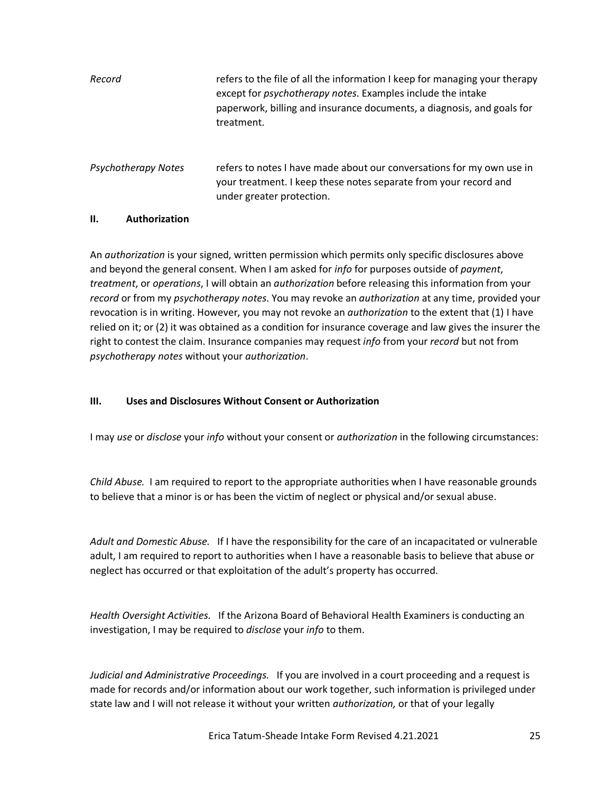| Record                     | refers to the file of all the information I keep for managing your therapy<br>except for <i>psychotherapy notes</i> . Examples include the intake<br>paperwork, billing and insurance documents, a diagnosis, and goals for<br>treatment. |
|----------------------------|-------------------------------------------------------------------------------------------------------------------------------------------------------------------------------------------------------------------------------------------|
| <b>Psychotherapy Notes</b> | refers to notes I have made about our conversations for my own use in<br>your treatment. I keep these notes separate from your record and<br>under greater protection.                                                                    |

#### **II. Authorization**

An *authorization* is your signed, written permission which permits only specific disclosures above and beyond the general consent. When I am asked for *info* for purposes outside of *payment*, *treatment*, or *operations*, I will obtain an *authorization* before releasing this information from your *record* or from my *psychotherapy notes*. You may revoke an *authorization* at any time, provided your revocation is in writing. However, you may not revoke an *authorization* to the extent that (1) I have relied on it; or (2) it was obtained as a condition for insurance coverage and law gives the insurer the right to contest the claim. Insurance companies may request *info* from your *record* but not from *psychotherapy notes* without your *authorization*.

#### **III. Uses and Disclosures Without Consent or Authorization**

I may *use* or *disclose* your *info* without your consent or *authorization* in the following circumstances:

*Child Abuse.* I am required to report to the appropriate authorities when I have reasonable grounds to believe that a minor is or has been the victim of neglect or physical and/or sexual abuse.

*Adult and Domestic Abuse.* If I have the responsibility for the care of an incapacitated or vulnerable adult, I am required to report to authorities when I have a reasonable basis to believe that abuse or neglect has occurred or that exploitation of the adult's property has occurred.

*Health Oversight Activities.* If the Arizona Board of Behavioral Health Examiners is conducting an investigation, I may be required to *disclose* your *info* to them.

*Judicial and Administrative Proceedings.* If you are involved in a court proceeding and a request is made for records and/or information about our work together, such information is privileged under state law and I will not release it without your written *authorization,* or that of your legally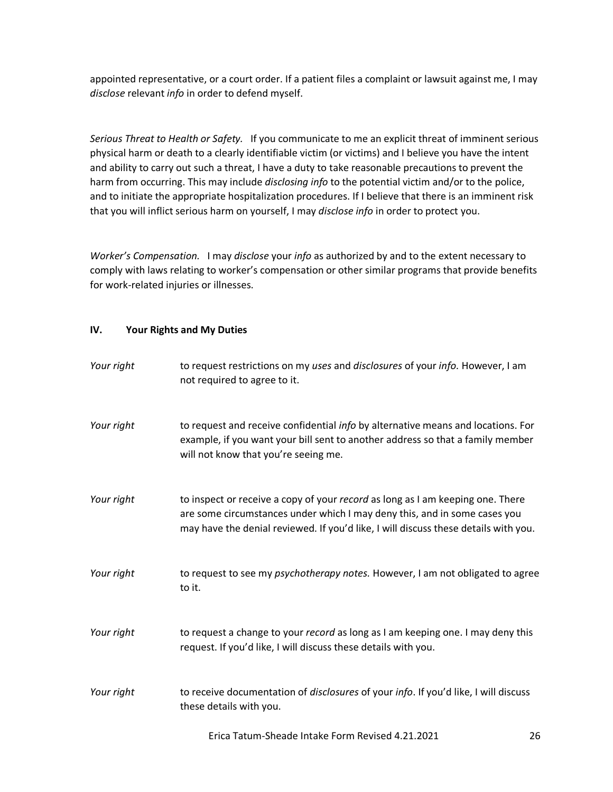appointed representative, or a court order. If a patient files a complaint or lawsuit against me, I may *disclose* relevant *info* in order to defend myself.

*Serious Threat to Health or Safety.* If you communicate to me an explicit threat of imminent serious physical harm or death to a clearly identifiable victim (or victims) and I believe you have the intent and ability to carry out such a threat, I have a duty to take reasonable precautions to prevent the harm from occurring. This may include *disclosing info* to the potential victim and/or to the police, and to initiate the appropriate hospitalization procedures. If I believe that there is an imminent risk that you will inflict serious harm on yourself, I may *disclose info* in order to protect you.

*Worker's Compensation.* I may *disclose* your *info* as authorized by and to the extent necessary to comply with laws relating to worker's compensation or other similar programs that provide benefits for work-related injuries or illnesses.

#### **IV. Your Rights and My Duties**

| Your right | to request restrictions on my uses and disclosures of your info. However, I am<br>not required to agree to it.                                                                                                                                     |
|------------|----------------------------------------------------------------------------------------------------------------------------------------------------------------------------------------------------------------------------------------------------|
| Your right | to request and receive confidential info by alternative means and locations. For<br>example, if you want your bill sent to another address so that a family member<br>will not know that you're seeing me.                                         |
| Your right | to inspect or receive a copy of your record as long as I am keeping one. There<br>are some circumstances under which I may deny this, and in some cases you<br>may have the denial reviewed. If you'd like, I will discuss these details with you. |
| Your right | to request to see my <i>psychotherapy notes</i> . However, I am not obligated to agree<br>to it.                                                                                                                                                   |
| Your right | to request a change to your record as long as I am keeping one. I may deny this<br>request. If you'd like, I will discuss these details with you.                                                                                                  |
| Your right | to receive documentation of disclosures of your info. If you'd like, I will discuss<br>these details with you.                                                                                                                                     |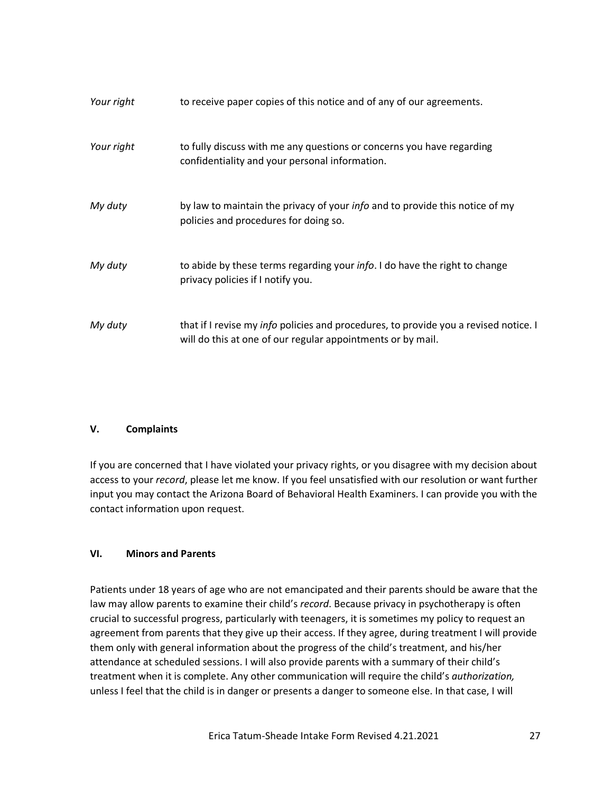| Your right | to receive paper copies of this notice and of any of our agreements.                                                                                       |
|------------|------------------------------------------------------------------------------------------------------------------------------------------------------------|
| Your right | to fully discuss with me any questions or concerns you have regarding<br>confidentiality and your personal information.                                    |
| My duty    | by law to maintain the privacy of your <i>info</i> and to provide this notice of my<br>policies and procedures for doing so.                               |
| My duty    | to abide by these terms regarding your <i>info</i> . I do have the right to change<br>privacy policies if I notify you.                                    |
| My duty    | that if I revise my <i>info</i> policies and procedures, to provide you a revised notice. I<br>will do this at one of our regular appointments or by mail. |

#### **V. Complaints**

If you are concerned that I have violated your privacy rights, or you disagree with my decision about access to your *record*, please let me know. If you feel unsatisfied with our resolution or want further input you may contact the Arizona Board of Behavioral Health Examiners. I can provide you with the contact information upon request.

#### **VI. Minors and Parents**

Patients under 18 years of age who are not emancipated and their parents should be aware that the law may allow parents to examine their child's *record*. Because privacy in psychotherapy is often crucial to successful progress, particularly with teenagers, it is sometimes my policy to request an agreement from parents that they give up their access. If they agree, during treatment I will provide them only with general information about the progress of the child's treatment, and his/her attendance at scheduled sessions. I will also provide parents with a summary of their child's treatment when it is complete. Any other communication will require the child's *authorization,*  unless I feel that the child is in danger or presents a danger to someone else. In that case, I will